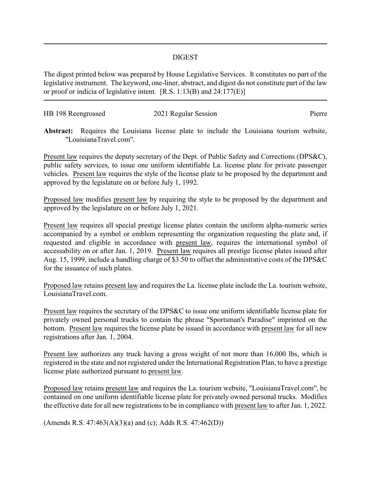## DIGEST

The digest printed below was prepared by House Legislative Services. It constitutes no part of the legislative instrument. The keyword, one-liner, abstract, and digest do not constitute part of the law or proof or indicia of legislative intent. [R.S. 1:13(B) and 24:177(E)]

| HB 198 Reengrossed | 2021 Regular Session | Pierre |
|--------------------|----------------------|--------|
|                    |                      |        |

**Abstract:** Requires the Louisiana license plate to include the Louisiana tourism website, "LouisianaTravel.com".

Present law requires the deputy secretary of the Dept. of Public Safety and Corrections (DPS&C), public safety services, to issue one uniform identifiable La. license plate for private passenger vehicles. Present law requires the style of the license plate to be proposed by the department and approved by the legislature on or before July 1, 1992.

Proposed law modifies present law by requiring the style to be proposed by the department and approved by the legislature on or before July 1, 2021.

Present law requires all special prestige license plates contain the uniform alpha-numeric series accompanied by a symbol or emblem representing the organization requesting the plate and, if requested and eligible in accordance with present law, requires the international symbol of accessability on or after Jan. 1, 2019. Present law requires all prestige license plates issued after Aug. 15, 1999, include a handling charge of \$3.50 to offset the administrative costs of the DPS&C for the issuance of such plates.

Proposed law retains present law and requires the La. license plate include the La. tourism website, LouisianaTravel.com.

Present law requires the secretary of the DPS&C to issue one uniform identifiable license plate for privately owned personal trucks to contain the phrase "Sportsman's Paradise" imprinted on the bottom. Present law requires the license plate be issued in accordance with present law for all new registrations after Jan. 1, 2004.

Present law authorizes any truck having a gross weight of not more than 16,000 lbs, which is registered in the state and not registered under the International Registration Plan, to have a prestige license plate authorized pursuant to present law.

Proposed law retains present law and requires the La. tourism website, "LouisianaTravel.com", be contained on one uniform identifiable license plate for privately owned personal trucks. Modifies the effective date for all new registrations to be in compliance with present law to after Jan. 1, 2022.

(Amends R.S. 47:463(A)(3)(a) and (c); Adds R.S. 47:462(D))